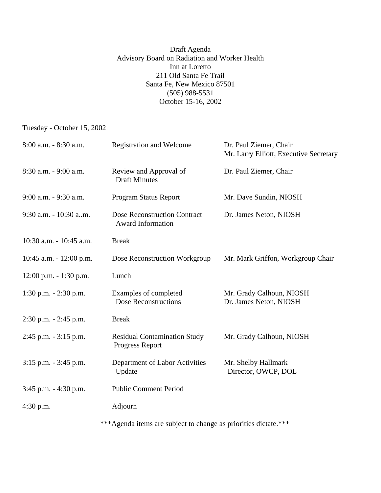## Draft Agenda Advisory Board on Radiation and Worker Health Inn at Loretto 211 Old Santa Fe Trail Santa Fe, New Mexico 87501 (505) 988-5531 October 15-16, 2002

## Tuesday - October 15, 2002

| 8:00 a.m. - 8:30 a.m.      | <b>Registration and Welcome</b>                                 | Dr. Paul Ziemer, Chair<br>Mr. Larry Elliott, Executive Secretary |
|----------------------------|-----------------------------------------------------------------|------------------------------------------------------------------|
| 8:30 a.m. - 9:00 a.m.      | Review and Approval of<br><b>Draft Minutes</b>                  | Dr. Paul Ziemer, Chair                                           |
| 9:00 a.m. - 9:30 a.m.      | Program Status Report                                           | Mr. Dave Sundin, NIOSH                                           |
| 9:30 a.m. - 10:30 a.m.     | <b>Dose Reconstruction Contract</b><br><b>Award Information</b> | Dr. James Neton, NIOSH                                           |
| 10:30 a.m. - 10:45 a.m.    | <b>Break</b>                                                    |                                                                  |
| $10:45$ a.m. $-12:00$ p.m. | Dose Reconstruction Workgroup                                   | Mr. Mark Griffon, Workgroup Chair                                |
| $12:00$ p.m. $-1:30$ p.m.  | Lunch                                                           |                                                                  |
| 1:30 p.m. $- 2:30$ p.m.    | Examples of completed<br><b>Dose Reconstructions</b>            | Mr. Grady Calhoun, NIOSH<br>Dr. James Neton, NIOSH               |
| $2:30$ p.m. $-2:45$ p.m.   | <b>Break</b>                                                    |                                                                  |
| $2:45$ p.m. $-3:15$ p.m.   | <b>Residual Contamination Study</b><br>Progress Report          | Mr. Grady Calhoun, NIOSH                                         |
| $3:15$ p.m. $-3:45$ p.m.   | Department of Labor Activities<br>Update                        | Mr. Shelby Hallmark<br>Director, OWCP, DOL                       |
| $3:45$ p.m. $-4:30$ p.m.   | <b>Public Comment Period</b>                                    |                                                                  |
| $4:30$ p.m.                | Adjourn                                                         |                                                                  |

\*\*\*Agenda items are subject to change as priorities dictate.\*\*\*